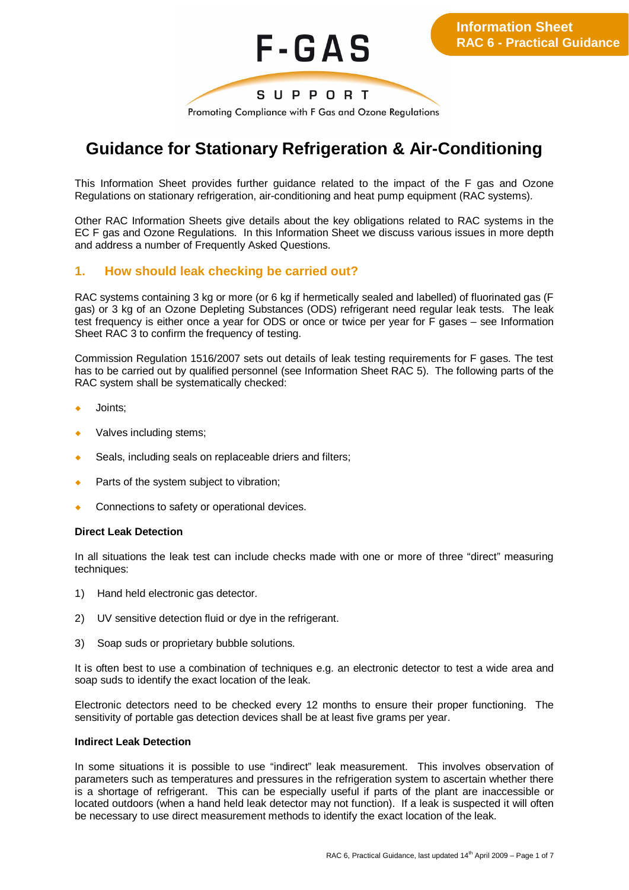

Promoting Compliance with F Gas and Ozone Regulations

# **Guidance for Stationary Refrigeration & Air-Conditioning**

This Information Sheet provides further guidance related to the impact of the F gas and Ozone Regulations on stationary refrigeration, air-conditioning and heat pump equipment (RAC systems).

Other RAC Information Sheets give details about the key obligations related to RAC systems in the EC F gas and Ozone Regulations. In this Information Sheet we discuss various issues in more depth and address a number of Frequently Asked Questions.

#### **1. How should leak checking be carried out?**

RAC systems containing 3 kg or more (or 6 kg if hermetically sealed and labelled) of fluorinated gas (F gas) or 3 kg of an Ozone Depleting Substances (ODS) refrigerant need regular leak tests. The leak test frequency is either once a year for ODS or once or twice per year for F gases – see Information Sheet RAC 3 to confirm the frequency of testing.

Commission Regulation 1516/2007 sets out details of leak testing requirements for F gases. The test has to be carried out by qualified personnel (see Information Sheet RAC 5). The following parts of the RAC system shall be systematically checked:

- Joints;
- Valves including stems;
- $\bullet$  Seals, including seals on replaceable driers and filters;
- Parts of the system subject to vibration;
- Connections to safety or operational devices.

#### **Direct Leak Detection**

In all situations the leak test can include checks made with one or more of three "direct" measuring techniques:

- 1) Hand held electronic gas detector.
- 2) UV sensitive detection fluid or dye in the refrigerant.
- 3) Soap suds or proprietary bubble solutions.

It is often best to use a combination of techniques e.g. an electronic detector to test a wide area and soap suds to identify the exact location of the leak.

Electronic detectors need to be checked every 12 months to ensure their proper functioning. The sensitivity of portable gas detection devices shall be at least five grams per year.

#### **Indirect Leak Detection**

In some situations it is possible to use "indirect" leak measurement. This involves observation of parameters such as temperatures and pressures in the refrigeration system to ascertain whether there is a shortage of refrigerant. This can be especially useful if parts of the plant are inaccessible or located outdoors (when a hand held leak detector may not function). If a leak is suspected it will often be necessary to use direct measurement methods to identify the exact location of the leak.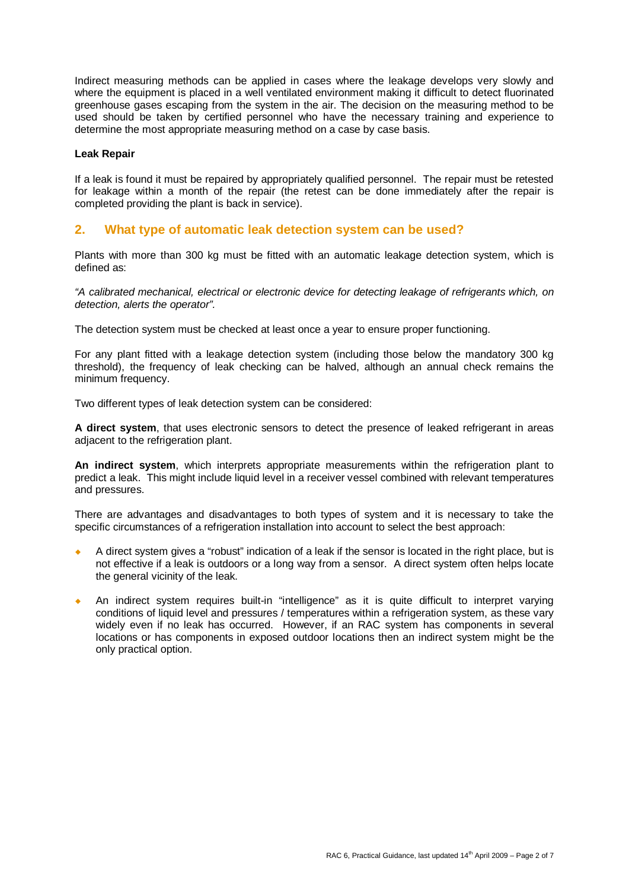Indirect measuring methods can be applied in cases where the leakage develops very slowly and where the equipment is placed in a well ventilated environment making it difficult to detect fluorinated greenhouse gases escaping from the system in the air. The decision on the measuring method to be used should be taken by certified personnel who have the necessary training and experience to determine the most appropriate measuring method on a case by case basis.

#### **Leak Repair**

If a leak is found it must be repaired by appropriately qualified personnel. The repair must be retested for leakage within a month of the repair (the retest can be done immediately after the repair is completed providing the plant is back in service).

#### **2. What type of automatic leak detection system can be used?**

Plants with more than 300 kg must be fitted with an automatic leakage detection system, which is defined as:

*"A calibrated mechanical, electrical or electronic device for detecting leakage of refrigerants which, on detection, alerts the operator".*

The detection system must be checked at least once a year to ensure proper functioning.

For any plant fitted with a leakage detection system (including those below the mandatory 300 kg threshold), the frequency of leak checking can be halved, although an annual check remains the minimum frequency.

Two different types of leak detection system can be considered:

**A direct system**, that uses electronic sensors to detect the presence of leaked refrigerant in areas adjacent to the refrigeration plant.

**An indirect system**, which interprets appropriate measurements within the refrigeration plant to predict a leak. This might include liquid level in a receiver vessel combined with relevant temperatures and pressures.

There are advantages and disadvantages to both types of system and it is necessary to take the specific circumstances of a refrigeration installation into account to select the best approach:

- A direct system gives a "robust" indication of a leak if the sensor is located in the right place, but is not effective if a leak is outdoors or a long way from a sensor. A direct system often helps locate the general vicinity of the leak.
- An indirect system requires built-in "intelligence" as it is quite difficult to interpret varying conditions of liquid level and pressures / temperatures within a refrigeration system, as these vary widely even if no leak has occurred. However, if an RAC system has components in several locations or has components in exposed outdoor locations then an indirect system might be the only practical option.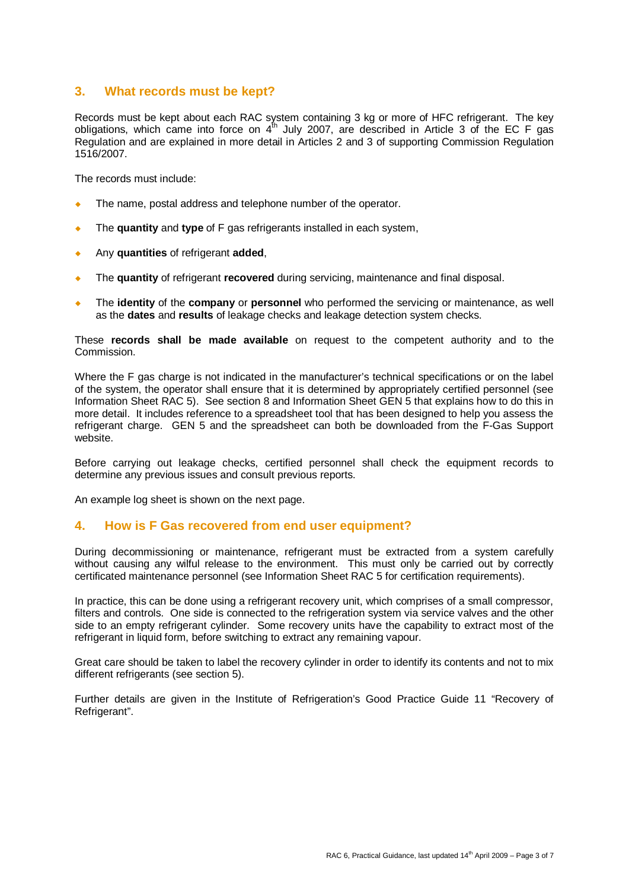## **3. What records must be kept?**

Records must be kept about each RAC system containing 3 kg or more of HFC refrigerant. The key obligations, which came into force on  $4^{th}$  July 2007, are described in Article 3 of the EC F gas Regulation and are explained in more detail in Articles 2 and 3 of supporting Commission Regulation 1516/2007.

The records must include:

- The name, postal address and telephone number of the operator.
- The **quantity** and **type** of F gas refrigerants installed in each system,
- ¡ Any **quantities** of refrigerant **added**,
- ¡ The **quantity** of refrigerant **recovered** during servicing, maintenance and final disposal.
- The **identity** of the **company** or **personnel** who performed the servicing or maintenance, as well as the **dates** and **results** of leakage checks and leakage detection system checks.

These **records shall be made available** on request to the competent authority and to the Commission.

Where the F gas charge is not indicated in the manufacturer's technical specifications or on the label of the system, the operator shall ensure that it is determined by appropriately certified personnel (see Information Sheet RAC 5). See section 8 and Information Sheet GEN 5 that explains how to do this in more detail. It includes reference to a spreadsheet tool that has been designed to help you assess the refrigerant charge. GEN 5 and the spreadsheet can both be downloaded from the F-Gas Support website.

Before carrying out leakage checks, certified personnel shall check the equipment records to determine any previous issues and consult previous reports.

An example log sheet is shown on the next page.

#### **4. How is F Gas recovered from end user equipment?**

During decommissioning or maintenance, refrigerant must be extracted from a system carefully without causing any wilful release to the environment. This must only be carried out by correctly certificated maintenance personnel (see Information Sheet RAC 5 for certification requirements).

In practice, this can be done using a refrigerant recovery unit, which comprises of a small compressor, filters and controls. One side is connected to the refrigeration system via service valves and the other side to an empty refrigerant cylinder. Some recovery units have the capability to extract most of the refrigerant in liquid form, before switching to extract any remaining vapour.

Great care should be taken to label the recovery cylinder in order to identify its contents and not to mix different refrigerants (see section 5).

Further details are given in the Institute of Refrigeration's Good Practice Guide 11 "Recovery of Refrigerant".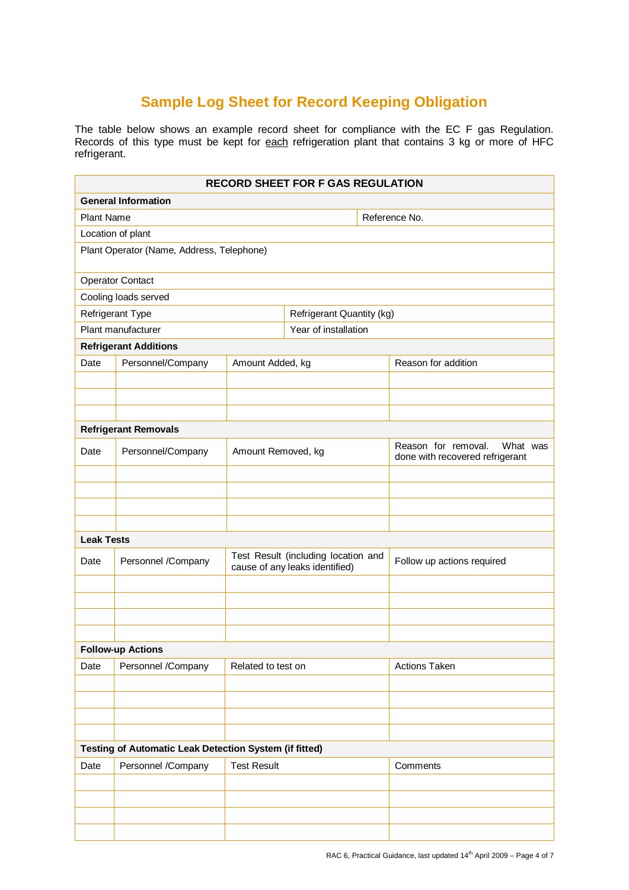## **Sample Log Sheet for Record Keeping Obligation**

The table below shows an example record sheet for compliance with the EC F gas Regulation. Records of this type must be kept for each refrigeration plant that contains 3 kg or more of HFC refrigerant.

| <b>RECORD SHEET FOR F GAS REGULATION</b>               |                    |                                                                       |                           |                                                                    |                     |
|--------------------------------------------------------|--------------------|-----------------------------------------------------------------------|---------------------------|--------------------------------------------------------------------|---------------------|
| <b>General Information</b>                             |                    |                                                                       |                           |                                                                    |                     |
| <b>Plant Name</b>                                      |                    |                                                                       |                           | Reference No.                                                      |                     |
| Location of plant                                      |                    |                                                                       |                           |                                                                    |                     |
| Plant Operator (Name, Address, Telephone)              |                    |                                                                       |                           |                                                                    |                     |
| <b>Operator Contact</b>                                |                    |                                                                       |                           |                                                                    |                     |
| Cooling loads served                                   |                    |                                                                       |                           |                                                                    |                     |
|                                                        | Refrigerant Type   |                                                                       | Refrigerant Quantity (kg) |                                                                    |                     |
| Plant manufacturer                                     |                    |                                                                       | Year of installation      |                                                                    |                     |
| <b>Refrigerant Additions</b>                           |                    |                                                                       |                           |                                                                    |                     |
| Date                                                   | Personnel/Company  | Amount Added, kg                                                      |                           |                                                                    | Reason for addition |
|                                                        |                    |                                                                       |                           |                                                                    |                     |
|                                                        |                    |                                                                       |                           |                                                                    |                     |
|                                                        |                    |                                                                       |                           |                                                                    |                     |
| <b>Refrigerant Removals</b>                            |                    |                                                                       |                           |                                                                    |                     |
| Date                                                   | Personnel/Company  | Amount Removed, kg                                                    |                           | Reason for removal.<br>What was<br>done with recovered refrigerant |                     |
|                                                        |                    |                                                                       |                           |                                                                    |                     |
|                                                        |                    |                                                                       |                           |                                                                    |                     |
|                                                        |                    |                                                                       |                           |                                                                    |                     |
|                                                        |                    |                                                                       |                           |                                                                    |                     |
| <b>Leak Tests</b>                                      |                    |                                                                       |                           |                                                                    |                     |
| Date                                                   | Personnel /Company | Test Result (including location and<br>cause of any leaks identified) |                           | Follow up actions required                                         |                     |
|                                                        |                    |                                                                       |                           |                                                                    |                     |
|                                                        |                    |                                                                       |                           |                                                                    |                     |
|                                                        |                    |                                                                       |                           |                                                                    |                     |
|                                                        |                    |                                                                       |                           |                                                                    |                     |
| <b>Follow-up Actions</b>                               |                    |                                                                       |                           |                                                                    |                     |
| Date                                                   | Personnel /Company | Related to test on                                                    |                           |                                                                    | Actions Taken       |
|                                                        |                    |                                                                       |                           |                                                                    |                     |
|                                                        |                    |                                                                       |                           |                                                                    |                     |
|                                                        |                    |                                                                       |                           |                                                                    |                     |
|                                                        |                    |                                                                       |                           |                                                                    |                     |
| Testing of Automatic Leak Detection System (if fitted) |                    |                                                                       |                           |                                                                    |                     |
| Date                                                   | Personnel /Company | <b>Test Result</b>                                                    |                           | Comments                                                           |                     |
|                                                        |                    |                                                                       |                           |                                                                    |                     |
|                                                        |                    |                                                                       |                           |                                                                    |                     |
|                                                        |                    |                                                                       |                           |                                                                    |                     |
|                                                        |                    |                                                                       |                           |                                                                    |                     |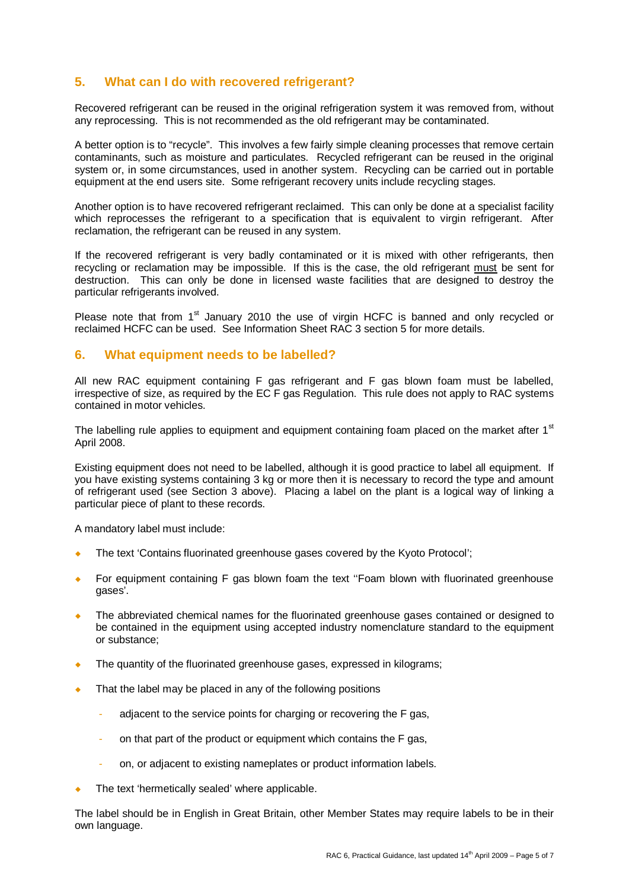## **5. What can I do with recovered refrigerant?**

Recovered refrigerant can be reused in the original refrigeration system it was removed from, without any reprocessing. This is not recommended as the old refrigerant may be contaminated.

A better option is to "recycle". This involves a few fairly simple cleaning processes that remove certain contaminants, such as moisture and particulates. Recycled refrigerant can be reused in the original system or, in some circumstances, used in another system. Recycling can be carried out in portable equipment at the end users site. Some refrigerant recovery units include recycling stages.

Another option is to have recovered refrigerant reclaimed. This can only be done at a specialist facility which reprocesses the refrigerant to a specification that is equivalent to virgin refrigerant. After reclamation, the refrigerant can be reused in any system.

If the recovered refrigerant is very badly contaminated or it is mixed with other refrigerants, then recycling or reclamation may be impossible. If this is the case, the old refrigerant must be sent for destruction. This can only be done in licensed waste facilities that are designed to destroy the particular refrigerants involved.

Please note that from 1<sup>st</sup> January 2010 the use of virgin HCFC is banned and only recycled or reclaimed HCFC can be used. See Information Sheet RAC 3 section 5 for more details.

#### **6. What equipment needs to be labelled?**

All new RAC equipment containing F gas refrigerant and F gas blown foam must be labelled, irrespective of size, as required by the EC F gas Regulation. This rule does not apply to RAC systems contained in motor vehicles.

The labelling rule applies to equipment and equipment containing foam placed on the market after 1<sup>st</sup> April 2008.

Existing equipment does not need to be labelled, although it is good practice to label all equipment. If you have existing systems containing 3 kg or more then it is necessary to record the type and amount of refrigerant used (see Section 3 above). Placing a label on the plant is a logical way of linking a particular piece of plant to these records.

A mandatory label must include:

- The text 'Contains fluorinated greenhouse gases covered by the Kyoto Protocol';
- For equipment containing F gas blown foam the text "Foam blown with fluorinated greenhouse gases'.
- The abbreviated chemical names for the fluorinated greenhouse gases contained or designed to be contained in the equipment using accepted industry nomenclature standard to the equipment or substance;
- The quantity of the fluorinated greenhouse gases, expressed in kilograms;
- That the label may be placed in any of the following positions
	- adjacent to the service points for charging or recovering the F gas,
	- on that part of the product or equipment which contains the F gas,
	- on, or adjacent to existing nameplates or product information labels.
- The text 'hermetically sealed' where applicable.

The label should be in English in Great Britain, other Member States may require labels to be in their own language.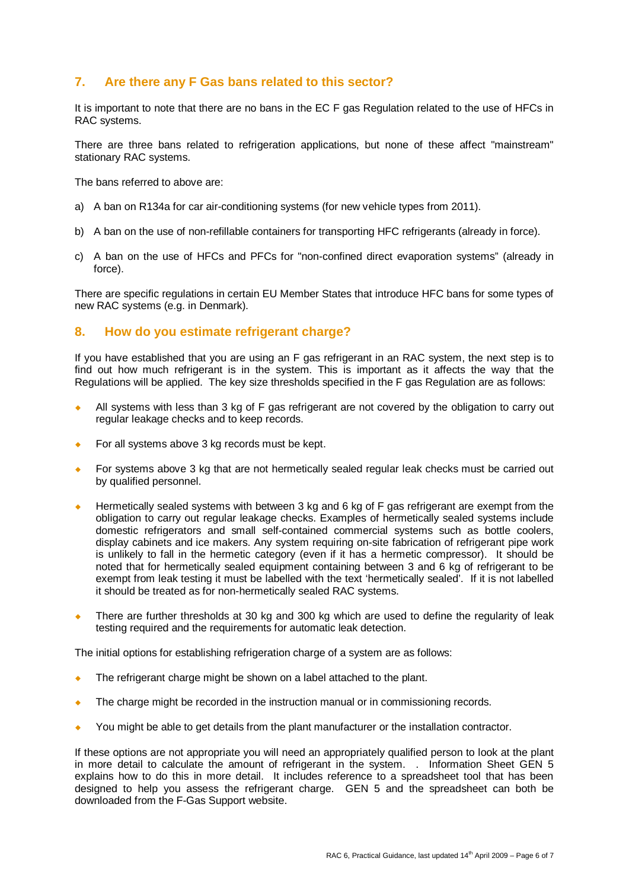## **7. Are there any F Gas bans related to this sector?**

It is important to note that there are no bans in the EC F gas Regulation related to the use of HFCs in RAC systems.

There are three bans related to refrigeration applications, but none of these affect "mainstream" stationary RAC systems.

The bans referred to above are:

- a) A ban on R134a for car air-conditioning systems (for new vehicle types from 2011).
- b) A ban on the use of non-refillable containers for transporting HFC refrigerants (already in force).
- c) A ban on the use of HFCs and PFCs for "non-confined direct evaporation systems" (already in force).

There are specific regulations in certain EU Member States that introduce HFC bans for some types of new RAC systems (e.g. in Denmark).

#### **8. How do you estimate refrigerant charge?**

If you have established that you are using an F gas refrigerant in an RAC system, the next step is to find out how much refrigerant is in the system. This is important as it affects the way that the Regulations will be applied. The key size thresholds specified in the F gas Regulation are as follows:

- All systems with less than 3 kg of F gas refrigerant are not covered by the obligation to carry out regular leakage checks and to keep records.
- $\bullet$  For all systems above 3 kg records must be kept.
- For systems above 3 kg that are not hermetically sealed regular leak checks must be carried out by qualified personnel.
- Hermetically sealed systems with between 3 kg and 6 kg of F gas refrigerant are exempt from the obligation to carry out regular leakage checks. Examples of hermetically sealed systems include domestic refrigerators and small self-contained commercial systems such as bottle coolers, display cabinets and ice makers. Any system requiring on-site fabrication of refrigerant pipe work is unlikely to fall in the hermetic category (even if it has a hermetic compressor). It should be noted that for hermetically sealed equipment containing between 3 and 6 kg of refrigerant to be exempt from leak testing it must be labelled with the text 'hermetically sealed'. If it is not labelled it should be treated as for non-hermetically sealed RAC systems.
- There are further thresholds at 30 kg and 300 kg which are used to define the regularity of leak testing required and the requirements for automatic leak detection.

The initial options for establishing refrigeration charge of a system are as follows:

- The refrigerant charge might be shown on a label attached to the plant.
- The charge might be recorded in the instruction manual or in commissioning records.
- You might be able to get details from the plant manufacturer or the installation contractor.

If these options are not appropriate you will need an appropriately qualified person to look at the plant in more detail to calculate the amount of refrigerant in the system. . Information Sheet GEN 5 explains how to do this in more detail. It includes reference to a spreadsheet tool that has been designed to help you assess the refrigerant charge. GEN 5 and the spreadsheet can both be downloaded from the F-Gas Support website.